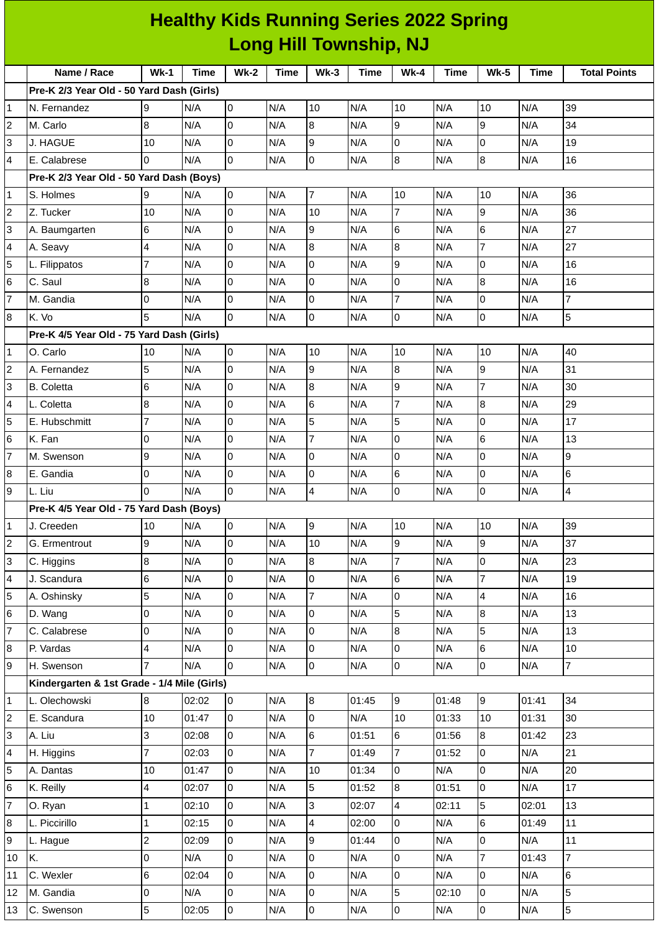| <b>Healthy Kids Running Series 2022 Spring</b> |                                             |                         |             |                     |             |                  |             |                         |             |                |             |                     |
|------------------------------------------------|---------------------------------------------|-------------------------|-------------|---------------------|-------------|------------------|-------------|-------------------------|-------------|----------------|-------------|---------------------|
| <b>Long Hill Township, NJ</b>                  |                                             |                         |             |                     |             |                  |             |                         |             |                |             |                     |
|                                                | Name / Race                                 | <b>Wk-1</b>             | <b>Time</b> | <b>Wk-2</b>         | <b>Time</b> | $Wk-3$           | <b>Time</b> | $Wk-4$                  | <b>Time</b> | <b>Wk-5</b>    | <b>Time</b> | <b>Total Points</b> |
|                                                | Pre-K 2/3 Year Old - 50 Yard Dash (Girls)   |                         |             |                     |             |                  |             |                         |             |                |             |                     |
| 1                                              | N. Fernandez                                | 9                       | N/A         | 0                   | N/A         | 10               | N/A         | 10                      | N/A         | 10             | N/A         | 39                  |
| $\mathbf 2$                                    | M. Carlo                                    | 8                       | N/A         | 0                   | N/A         | 8                | N/A         | 9                       | N/A         | 9              | N/A         | 34                  |
| 3                                              | J. HAGUE                                    | 10                      | N/A         | 0                   | N/A         | 9                | N/A         | $\Omega$                | N/A         | $\Omega$       | N/A         | 19                  |
| 4                                              | E. Calabrese                                | $\Omega$                | N/A         | 0                   | N/A         | O                | N/A         | 8                       | N/A         | 8              | N/A         | 16                  |
|                                                | Pre-K 2/3 Year Old - 50 Yard Dash (Boys)    |                         |             |                     |             |                  |             |                         |             |                |             |                     |
| 1                                              | S. Holmes                                   | 9                       | N/A         | $\overline{0}$      | N/A         | $\overline{7}$   | N/A         | 10                      | N/A         | 10             | N/A         | 36                  |
| $\overline{c}$                                 | Z. Tucker                                   | 10                      | N/A         | $\overline{0}$      | N/A         | 10               | N/A         | 7                       | N/A         | 9              | N/A         | 36                  |
| 3                                              | A. Baumgarten                               | 6                       | N/A         | 0                   | N/A         | 9                | N/A         | 6                       | N/A         | 6              | N/A         | 27                  |
| 4                                              | A. Seavy                                    | 4                       | N/A         | $\overline{0}$      | N/A         | $\bf{8}$         | N/A         | 8                       | N/A         | $\overline{7}$ | N/A         | 27                  |
| $\overline{5}$                                 | L. Filippatos                               | $\overline{7}$          | N/A         | 0                   | N/A         | 0                | N/A         | 9                       | N/A         | $\Omega$       | N/A         | 16                  |
| 6                                              | C. Saul                                     | 8                       | N/A         | 0                   | N/A         | l0               | N/A         | 0                       | N/A         | 8              | N/A         | 16                  |
| $\overline{7}$                                 | M. Gandia                                   | 0                       | N/A         | 0                   | N/A         | 0                | N/A         | $\overline{7}$          | N/A         | 0              | N/A         | $\overline{7}$      |
| 8                                              | K. Vo                                       | 5                       | N/A         | $\overline{0}$      | N/A         | $\mathbf 0$      | N/A         | 0                       | N/A         | 0              | N/A         | 5                   |
|                                                | Pre-K 4/5 Year Old - 75 Yard Dash (Girls)   |                         |             |                     |             |                  |             |                         |             |                |             |                     |
| 1                                              | O. Carlo                                    | 10                      | N/A         | $\overline{0}$      | N/A         | 10               | N/A         | 10                      | N/A         | 10             | N/A         | 40                  |
| $\overline{c}$                                 | A. Fernandez                                | 5                       | N/A         | 0                   | N/A         | 9                | N/A         | 8                       | N/A         | 9              | N/A         | 31                  |
| 3                                              | <b>B.</b> Coletta                           | 6                       | N/A         | 0                   | N/A         | 8                | N/A         | 9                       | N/A         | $\overline{7}$ | N/A         | 30                  |
| 4                                              | L. Coletta                                  | 8                       | N/A         | 0                   | N/A         | $6\phantom{.}6$  | N/A         | $\overline{7}$          | N/A         | 8              | N/A         | 29                  |
| 5                                              | E. Hubschmitt                               | $\overline{7}$          | N/A         | $\pmb{0}$           | N/A         | 5                | N/A         | 5                       | N/A         | $\Omega$       | N/A         | 17                  |
| 6                                              | K. Fan                                      | 0                       | N/A         | 0                   | N/A         | $\overline{7}$   | N/A         | 0                       | N/A         | 6              | N/A         | 13                  |
| $\overline{7}$                                 | M. Swenson                                  | 9                       | N/A         | 0                   | N/A         | 0                | N/A         | 0                       | N/A         | $\Omega$       | N/A         | 9                   |
| 8                                              | E. Gandia                                   | 0                       | N/A         | 0                   | N/A         | $\overline{0}$   | N/A         | 6                       | N/A         | $\Omega$       | N/A         | 6                   |
| 9                                              | L. Liu                                      | 0                       | N/A         | 0                   | N/A         | 4                | N/A         | 0                       | N/A         | 0              | N/A         | 4                   |
|                                                | Pre-K 4/5 Year Old - 75 Yard Dash (Boys)    |                         |             |                     |             |                  |             |                         |             |                |             |                     |
| 1                                              | J. Creeden                                  | 10                      | N/A         | $\overline{0}$      | N/A         | 9                | N/A         | 10                      | N/A         | 10             | N/A         | 39                  |
| $\boldsymbol{2}$                               | G. Ermentrout                               | 9                       | N/A         | O                   | N/A         | 10               | N/A         | 9                       | N/A         | $\overline{9}$ | N/A         | 37                  |
| 3                                              | C. Higgins                                  | 8                       | N/A         | 0                   | N/A         | $\boldsymbol{8}$ | N/A         | $\overline{7}$          | N/A         | 0              | N/A         | 23                  |
| 4                                              | J. Scandura                                 | $\,6$                   | N/A         | $\overline{0}$      | N/A         | $\pmb{0}$        | N/A         | 6                       | N/A         | $\overline{7}$ | N/A         | 19                  |
| 5                                              | A. Oshinsky                                 | 5                       | N/A         | 0                   | N/A         | $\overline{7}$   | N/A         | 0                       | N/A         | 4              | N/A         | 16                  |
| 6                                              | D. Wang                                     | 0                       | N/A         | 0                   | N/A         | $\overline{0}$   | N/A         | 5                       | N/A         | 8              | N/A         | 13                  |
| $\overline{7}$                                 | C. Calabrese                                | $\overline{0}$          | N/A         | $\mathsf{O}\xspace$ | N/A         | $\pmb{0}$        | N/A         | 8                       | N/A         | 5              | N/A         | 13                  |
| 8                                              | P. Vardas                                   | 4                       | N/A         | $\mathbf 0$         | N/A         | $\mathsf 0$      | N/A         | 0                       | N/A         | 6              | N/A         | $10\,$              |
| 9                                              | H. Swenson                                  | $\overline{7}$          | N/A         | 0                   | N/A         | l0               | N/A         | $\pmb{0}$               | N/A         | 0              | N/A         | $\overline{7}$      |
|                                                | Kindergarten & 1st Grade - 1/4 Mile (Girls) |                         |             |                     |             |                  |             |                         |             |                |             |                     |
| $\mathbf 1$                                    | L. Olechowski                               | $8\,$                   | 02:02       | $\overline{0}$      | N/A         | $\bf{8}$         | 01:45       | 9                       | 01:48       | 9              | 01:41       | 34                  |
| $\overline{c}$                                 | E. Scandura                                 | 10                      | 01:47       | 0                   | N/A         | $\overline{0}$   | N/A         | 10                      | 01:33       | 10             | 01:31       | 30                  |
| 3                                              | A. Liu                                      | $\overline{3}$          | 02:08       | $\overline{0}$      | N/A         | $\,6$            | 01:51       | 6                       | 01:56       | 8              | 01:42       | 23                  |
| 4                                              | H. Higgins                                  | $\overline{7}$          | 02:03       | $\overline{0}$      | N/A         | $\overline{7}$   | 01:49       | $\overline{7}$          | 01:52       | 0              | N/A         | 21                  |
| 5                                              | A. Dantas                                   | 10                      | 01:47       | 0                   | N/A         | 10               | 01:34       | 0                       | N/A         | 0              | N/A         | 20                  |
| 6                                              | K. Reilly                                   | $\overline{\mathbf{4}}$ | 02:07       | $\overline{0}$      | N/A         | 5                | 01:52       | 8                       | 01:51       | 0              | N/A         | 17                  |
| $\overline{7}$                                 | O. Ryan                                     | $\mathbf{1}$            | 02:10       | $\overline{0}$      | N/A         | 3                | 02:07       | $\overline{\mathbf{4}}$ | 02:11       | 5              | 02:01       | 13                  |
| 8                                              | L. Piccirillo                               | $\mathbf{1}$            | 02:15       | O                   | N/A         | 4                | 02:00       | 0                       | N/A         | 6              | 01:49       | 11                  |
| 9                                              | L. Hague                                    | $\overline{c}$          | 02:09       | 0                   | N/A         | 9                | 01:44       | 0                       | N/A         | 0              | N/A         | 11                  |
| 10                                             | K.                                          | 0                       | N/A         | $\overline{0}$      | N/A         | $\mathsf 0$      | N/A         | 0                       | N/A         | $\overline{7}$ | 01:43       | $\overline{7}$      |
| 11                                             | C. Wexler                                   | $6\phantom{.}$          | 02:04       | 0                   | N/A         | 0                | N/A         | 0                       | N/A         | 0              | N/A         | 6                   |
| 12                                             | M. Gandia                                   | $\overline{0}$          | N/A         | 0                   | N/A         | $\overline{0}$   | N/A         | 5                       | 02:10       | 0              | N/A         | 5                   |
| 13                                             | C. Swenson                                  | 5                       | 02:05       | $\overline{0}$      | N/A         | $\overline{0}$   | N/A         | $\mathsf 0$             | N/A         | $\overline{0}$ | N/A         | 5                   |